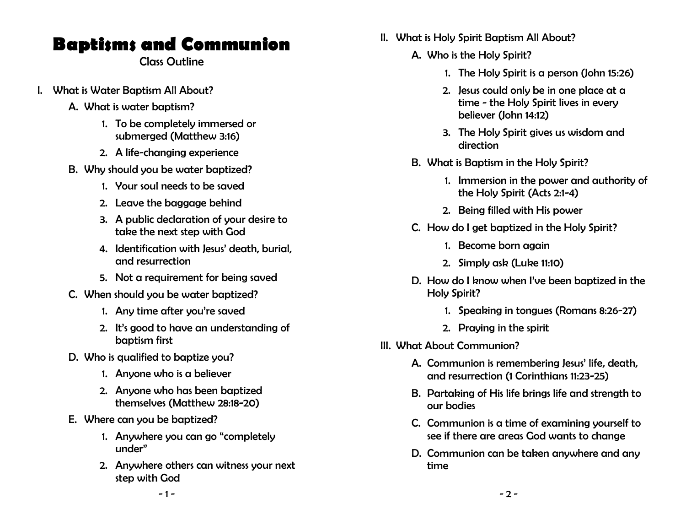# Baptisms and Communion

Class Outline

- I. What is Water Baptism All About?
	- A. What is water baptism?
		- 1. To be completely immersed or submerged (Matthew 3:16)
		- 2. A life-changing experience
	- B. Why should you be water baptized?
		- 1. Your soul needs to be saved
		- 2. Leave the baggage behind
		- 3. A public declaration of your desire to take the next step with God
		- 4. Identification with Jesus' death, burial, and resurrection
		- 5. Not a requirement for being saved
	- C. When should you be water baptized?
		- 1. Any time after you're saved
		- 2. It's good to have an understanding of baptism first
	- D. Who is qualified to baptize you?
		- 1. Anyone who is a believer
		- 2. Anyone who has been baptized themselves (Matthew 28:18-20)
	- E. Where can you be baptized?
		- 1. Anywhere you can go "completely under"
		- 2. Anywhere others can witness your next step with God
- II. What is Holy Spirit Baptism All About?
	- A. Who is the Holy Spirit?
		- 1. The Holy Spirit is a person (John 15:26)
		- 2. Jesus could only be in one place at a time - the Holy Spirit lives in every believer (John 14:12)
		- 3. The Holy Spirit gives us wisdom and direction
	- B. What is Baptism in the Holy Spirit?
		- 1. Immersion in the power and authority of the Holy Spirit (Acts 2:1-4)
		- 2. Being filled with His power
	- C. How do I get baptized in the Holy Spirit?
		- 1. Become born again
		- 2. Simply ask (Luke 11:10)
	- D. How do I know when I've been baptized in the Holy Spirit?
		- 1. Speaking in tongues (Romans 8:26-27)
		- 2. Praying in the spirit
- III. What About Communion?
	- A. Communion is remembering Jesus' life, death, and resurrection (1 Corinthians 11:23-25)
	- B. Partaking of His life brings life and strength to our bodies
	- C. Communion is a time of examining yourself to see if there are areas God wants to change
	- D. Communion can be taken anywhere and any time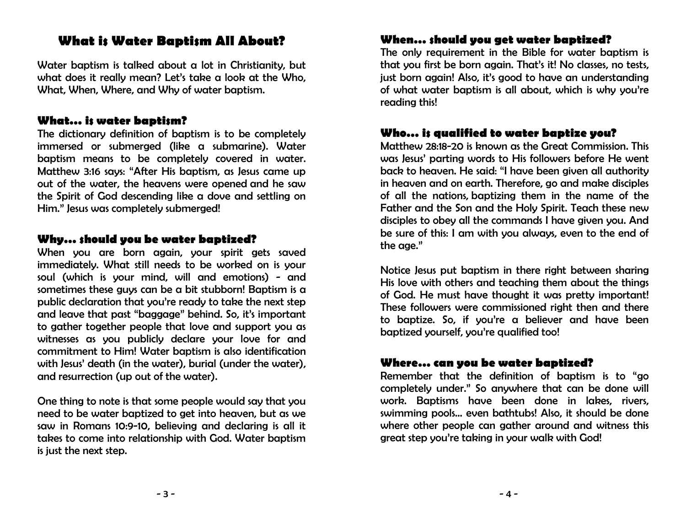## What is Water Baptism All About?

Water baptism is talked about a lot in Christianity, but what does it really mean? Let's take a look at the Who. What, When, Where, and Why of water baptism.

#### What… is water baptism?

The dictionary definition of baptism is to be completely immersed or submerged (like a submarine). Water baptism means to be completely covered in water. Matthew 3:16 says: "After His baptism, as Jesus came up out of the water, the heavens were opened and he saw the Spirit of God descending like a dove and settling on Him." Jesus was completely submerged!

### Why… should you be water baptized?

When you are born again, your spirit gets saved immediately. What still needs to be worked on is your soul (which is your mind, will and emotions) - and sometimes these guys can be a bit stubborn! Baptism is a public declaration that you're ready to take the next step and leave that past "baggage" behind. So, it's important to gather together people that love and support you as witnesses as you publicly declare your love for and commitment to Him! Water baptism is also identification with Jesus' death (in the water), burial (under the water), and resurrection (up out of the water).

One thing to note is that some people would say that you need to be water baptized to get into heaven, but as we saw in Romans 10:9-10, believing and declaring is all it takes to come into relationship with God. Water baptism is just the next step.

## When… should you get water baptized?

The only requirement in the Bible for water baptism is that you first be born again. That's it! No classes, no tests, just born again! Also, it's good to have an understanding of what water baptism is all about, which is why you're reading this!

## Who… is qualified to water baptize you?

Matthew 28:18-20 is known as the Great Commission. This was Jesus' parting words to His followers before He went back to heaven. He said: "I have been given all authority in heaven and on earth. Therefore, go and make disciples of all the nations, baptizing them in the name of the Father and the Son and the Holy Spirit. Teach these new disciples to obey all the commands I have given you. And be sure of this: I am with you always, even to the end of the age."

Notice Jesus put baptism in there right between sharing His love with others and teaching them about the things of God. He must have thought it was pretty important! These followers were commissioned right then and there to baptize. So, if you're a believer and have been baptized yourself, you're qualified too!

#### Where… can you be water baptized?

Remember that the definition of baptism is to "go completely under." So anywhere that can be done will work. Baptisms have been done in lakes, rivers, swimming pools… even bathtubs! Also, it should be done where other people can gather around and witness this great step you're taking in your walk with God!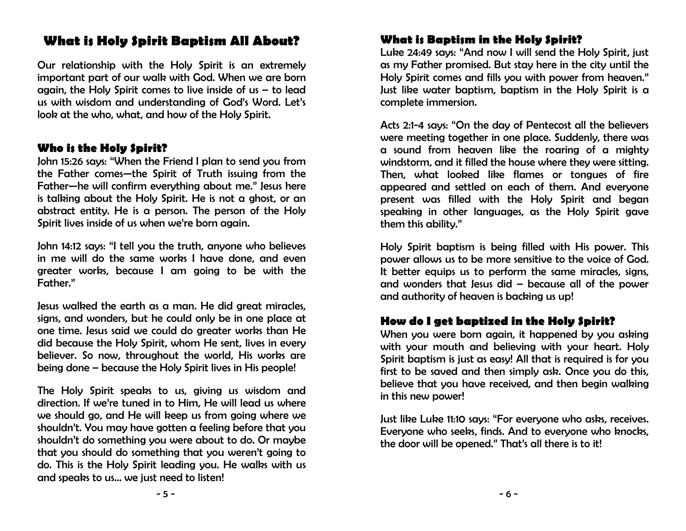# What is Holy Spirit Baptism All About?

Our relationship with the Holy Spirit is an extremely important part of our walk with God. When we are born again, the Holy Spirit comes to live inside of us  $-$  to lead us with wisdom and understanding of God's Word. Let's look at the who, what, and how of the Holy Spirit.

## Who is the Holy Spirit?

John 15:26 says: "When the Friend I plan to send you from the Father comes—the Spirit of Truth issuing from the Father—he will confirm everything about me." Jesus here is talking about the Holy Spirit. He is not a ghost, or an abstract entity. He is a person. The person of the Holy Spirit lives inside of us when we're born again.

John 14:12 says: "I tell you the truth, anyone who believes in me will do the same works I have done, and even greater works, because I am going to be with the Father."

Jesus walked the earth as a man. He did great miracles, signs, and wonders, but he could only be in one place at one time. Jesus said we could do greater works than He did because the Holy Spirit, whom He sent, lives in every believer. So now, throughout the world, His works are being done – because the Holy Spirit lives in His people!

The Holy Spirit speaks to us, giving us wisdom and direction. If we're tuned in to Him, He will lead us where we should go, and He will keep us from going where we shouldn't. You may have gotten a feeling before that you shouldn't do something you were about to do. Or maybe that you should do something that you weren't going to do. This is the Holy Spirit leading you. He walks with us and speaks to us… we just need to listen!

## What is Baptism in the Holy Spirit?

Luke 24:49 says: "And now I will send the Holy Spirit, just as my Father promised. But stay here in the city until the Holy Spirit comes and fills you with power from heaven." Just like water baptism, baptism in the Holy Spirit is a complete immersion.

Acts 2:1-4 says: "On the day of Pentecost all the believers were meeting together in one place. Suddenly, there was a sound from heaven like the roaring of a mighty windstorm, and it filled the house where they were sitting. Then, what looked like flames or tongues of fire appeared and settled on each of them. And everyone present was filled with the Holy Spirit and began speaking in other languages, as the Holy Spirit gave them this ability."

Holy Spirit baptism is being filled with His power. This power allows us to be more sensitive to the voice of God. It better equips us to perform the same miracles, signs, and wonders that Jesus did – because all of the power and authority of heaven is backing us up!

## How do I get baptized in the Holy Spirit?

When you were born again, it happened by you asking with your mouth and believing with your heart. Holy Spirit baptism is just as easy! All that is required is for you first to be saved and then simply ask. Once you do this, believe that you have received, and then begin walking in this new power!

Just like Luke 11:10 says: "For everyone who asks, receives. Everyone who seeks, finds. And to everyone who knocks, the door will be opened." That's all there is to it!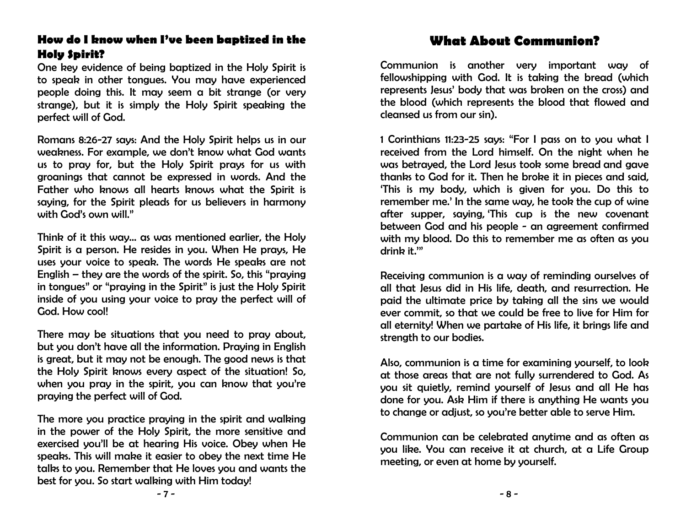## How do I know when I've been baptized in the Holy Spirit?

One key evidence of being baptized in the Holy Spirit is to speak in other tongues. You may have experienced people doing this. It may seem a bit strange (or very strange), but it is simply the Holy Spirit speaking the perfect will of God.

Romans 8:26-27 says: And the Holy Spirit helps us in our weakness. For example, we don't know what God wants us to pray for, but the Holy Spirit prays for us with groanings that cannot be expressed in words. And the Father who knows all hearts knows what the Spirit is saying, for the Spirit pleads for us believers in harmony with God's own will."

Think of it this way… as was mentioned earlier, the Holy Spirit is a person. He resides in you. When He prays, He uses your voice to speak. The words He speaks are not English – they are the words of the spirit. So, this "praying in tongues" or "praying in the Spirit" is just the Holy Spirit inside of you using your voice to pray the perfect will of God. How cool!

There may be situations that you need to pray about, but you don't have all the information. Praying in English is great, but it may not be enough. The good news is that the Holy Spirit knows every aspect of the situation! So, when you pray in the spirit, you can know that you're praying the perfect will of God.

The more you practice praying in the spirit and walking in the power of the Holy Spirit, the more sensitive and exercised you'll be at hearing His voice. Obey when He speaks. This will make it easier to obey the next time He talks to you. Remember that He loves you and wants the best for you. So start walking with Him today!

# What About Communion?

Communion is another very important way of fellowshipping with God. It is taking the bread (which represents Jesus' body that was broken on the cross) and the blood (which represents the blood that flowed and cleansed us from our sin).

1 Corinthians 11:23-25 says: "For I pass on to you what I received from the Lord himself. On the night when he was betrayed, the Lord Jesus took some bread and gave thanks to God for it. Then he broke it in pieces and said, 'This is my body, which is given for you. Do this to remember me.' In the same way, he took the cup of wine after supper, saying, 'This cup is the new covenant between God and his people - an agreement confirmed with my blood. Do this to remember me as often as you drink it.'"

Receiving communion is a way of reminding ourselves of all that Jesus did in His life, death, and resurrection. He paid the ultimate price by taking all the sins we would ever commit, so that we could be free to live for Him for all eternity! When we partake of His life, it brings life and strength to our bodies.

Also, communion is a time for examining yourself, to look at those areas that are not fully surrendered to God. As you sit quietly, remind yourself of Jesus and all He has done for you. Ask Him if there is anything He wants you to change or adjust, so you're better able to serve Him.

Communion can be celebrated anytime and as often as you like. You can receive it at church, at a Life Group meeting, or even at home by yourself.